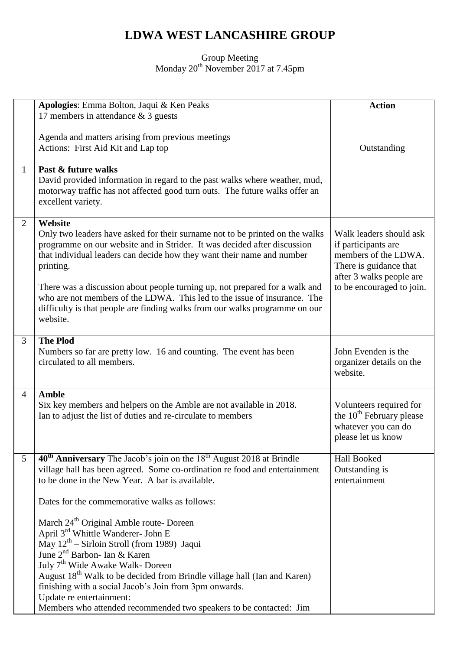## **LDWA WEST LANCASHIRE GROUP**

## Group Meeting Monday 20<sup>th</sup> November 2017 at 7.45pm

|                 | Apologies: Emma Bolton, Jaqui & Ken Peaks                                                                                                                | <b>Action</b>                                            |
|-----------------|----------------------------------------------------------------------------------------------------------------------------------------------------------|----------------------------------------------------------|
|                 | 17 members in attendance $& 3$ guests                                                                                                                    |                                                          |
|                 |                                                                                                                                                          |                                                          |
|                 | Agenda and matters arising from previous meetings                                                                                                        |                                                          |
|                 | Actions: First Aid Kit and Lap top                                                                                                                       | Outstanding                                              |
| 1               | Past & future walks                                                                                                                                      |                                                          |
|                 | David provided information in regard to the past walks where weather, mud,                                                                               |                                                          |
|                 | motorway traffic has not affected good turn outs. The future walks offer an                                                                              |                                                          |
|                 | excellent variety.                                                                                                                                       |                                                          |
|                 |                                                                                                                                                          |                                                          |
| 2               | Website                                                                                                                                                  |                                                          |
|                 | Only two leaders have asked for their surname not to be printed on the walks<br>programme on our website and in Strider. It was decided after discussion | Walk leaders should ask                                  |
|                 | that individual leaders can decide how they want their name and number                                                                                   | if participants are<br>members of the LDWA.              |
|                 | printing.                                                                                                                                                | There is guidance that                                   |
|                 |                                                                                                                                                          | after 3 walks people are                                 |
|                 | There was a discussion about people turning up, not prepared for a walk and                                                                              | to be encouraged to join.                                |
|                 | who are not members of the LDWA. This led to the issue of insurance. The                                                                                 |                                                          |
|                 | difficulty is that people are finding walks from our walks programme on our                                                                              |                                                          |
|                 | website.                                                                                                                                                 |                                                          |
| 3               | <b>The Plod</b>                                                                                                                                          |                                                          |
|                 | Numbers so far are pretty low. 16 and counting. The event has been                                                                                       | John Evenden is the                                      |
|                 | circulated to all members.                                                                                                                               | organizer details on the                                 |
|                 |                                                                                                                                                          | website.                                                 |
|                 |                                                                                                                                                          |                                                          |
| $\overline{4}$  | <b>Amble</b>                                                                                                                                             |                                                          |
|                 | Six key members and helpers on the Amble are not available in 2018.<br>Ian to adjust the list of duties and re-circulate to members                      | Volunteers required for<br>the $10^{th}$ February please |
|                 |                                                                                                                                                          | whatever you can do                                      |
|                 |                                                                                                                                                          | please let us know                                       |
|                 |                                                                                                                                                          |                                                          |
| $5\overline{)}$ | $40th$ Anniversary The Jacob's join on the $18th$ August 2018 at Brindle                                                                                 | Hall Booked                                              |
|                 | village hall has been agreed. Some co-ordination re food and entertainment                                                                               | Outstanding is                                           |
|                 | to be done in the New Year. A bar is available.                                                                                                          | entertainment                                            |
|                 | Dates for the commemorative walks as follows:                                                                                                            |                                                          |
|                 |                                                                                                                                                          |                                                          |
|                 | March 24 <sup>th</sup> Original Amble route- Doreen                                                                                                      |                                                          |
|                 | April 3 <sup>rd</sup> Whittle Wanderer- John E                                                                                                           |                                                          |
|                 | May 12 <sup>th</sup> – Sirloin Stroll (from 1989) Jaqui                                                                                                  |                                                          |
|                 | June 2 <sup>nd</sup> Barbon- Ian & Karen                                                                                                                 |                                                          |
|                 | July 7 <sup>th</sup> Wide Awake Walk- Doreen                                                                                                             |                                                          |
|                 | August 18 <sup>th</sup> Walk to be decided from Brindle village hall (Ian and Karen)<br>finishing with a social Jacob's Join from 3pm onwards.           |                                                          |
|                 | Update re entertainment:                                                                                                                                 |                                                          |
|                 | Members who attended recommended two speakers to be contacted: Jim                                                                                       |                                                          |